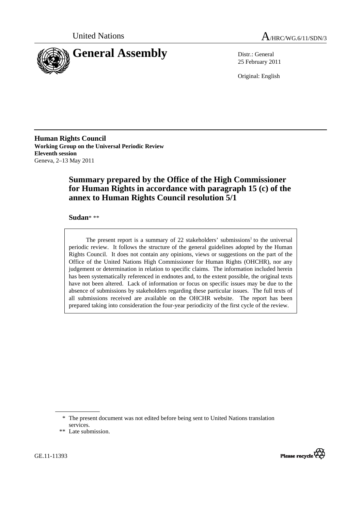



25 February 2011

Original: English

**Human Rights Council Working Group on the Universal Periodic Review Eleventh session**  Geneva, 2–13 May 2011

# **Summary prepared by the Office of the High Commissioner for Human Rights in accordance with paragraph 15 (c) of the annex to Human Rights Council resolution 5/1**

 **Sudan**\* \*\*

The present report is a summary of  $22$  stakeholders' submissions<sup>1</sup> to the universal periodic review. It follows the structure of the general guidelines adopted by the Human Rights Council. It does not contain any opinions, views or suggestions on the part of the Office of the United Nations High Commissioner for Human Rights (OHCHR), nor any judgement or determination in relation to specific claims. The information included herein has been systematically referenced in endnotes and, to the extent possible, the original texts have not been altered. Lack of information or focus on specific issues may be due to the absence of submissions by stakeholders regarding these particular issues. The full texts of all submissions received are available on the OHCHR website. The report has been prepared taking into consideration the four-year periodicity of the first cycle of the review.



 <sup>\*</sup> The present document was not edited before being sent to United Nations translation services.

 <sup>\*\*</sup> Late submission.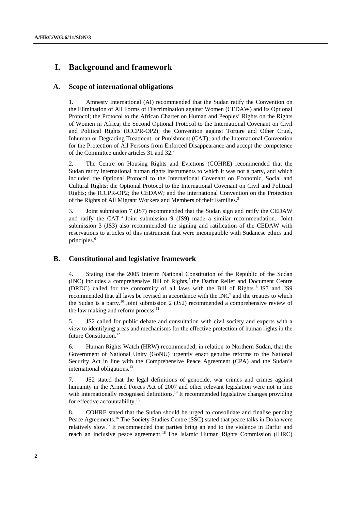# **I. Background and framework**

## **A. Scope of international obligations**

1. Amnesty International (AI) recommended that the Sudan ratify the Convention on the Elimination of All Forms of Discrimination against Women (CEDAW) and its Optional Protocol; the Protocol to the African Charter on Human and Peoples' Rights on the Rights of Women in Africa; the Second Optional Protocol to the International Covenant on Civil and Political Rights (ICCPR-OP2); the Convention against Torture and Other Cruel, Inhuman or Degrading Treatment or Punishment (CAT); and the International Convention for the Protection of All Persons from Enforced Disappearance and accept the competence of the Committee under articles 31 and 32.<sup>2</sup>

2. The Centre on Housing Rights and Evictions (COHRE) recommended that the Sudan ratify international human rights instruments to which it was not a party, and which included the Optional Protocol to the International Covenant on Economic, Social and Cultural Rights; the Optional Protocol to the International Covenant on Civil and Political Rights; the ICCPR-OP2; the CEDAW; and the International Convention on the Protection of the Rights of All Migrant Workers and Members of their Families.<sup>3</sup>

3. Joint submission 7 (JS7) recommended that the Sudan sign and ratify the CEDAW and ratify the CAT.<sup>4</sup> Joint submission 9 (JS9) made a similar recommendation.<sup>5</sup> Joint submission 3 (JS3) also recommended the signing and ratification of the CEDAW with reservations to articles of this instrument that were incompatible with Sudanese ethics and principles.<sup>6</sup>

## **B. Constitutional and legislative framework**

4. Stating that the 2005 Interim National Constitution of the Republic of the Sudan  $(INC)$  includes a comprehensive Bill of Rights, $7$  the Darfur Relief and Document Centre (DRDC) called for the conformity of all laws with the Bill of Rights.<sup>8</sup> JS7 and JS9 recommended that all laws be revised in accordance with the  $INC<sup>9</sup>$  and the treaties to which the Sudan is a party.<sup>10</sup> Joint submission 2 (JS2) recommended a comprehensive review of the law making and reform process. $11$ 

5. JS2 called for public debate and consultation with civil society and experts with a view to identifying areas and mechanisms for the effective protection of human rights in the future Constitution.12

6. Human Rights Watch (HRW) recommended, in relation to Northern Sudan, that the Government of National Unity (GoNU) urgently enact genuine reforms to the National Security Act in line with the Comprehensive Peace Agreement (CPA) and the Sudan's international obligations.<sup>13</sup>

7. JS2 stated that the legal definitions of genocide, war crimes and crimes against humanity in the Armed Forces Act of 2007 and other relevant legislation were not in line with internationally recognised definitions.<sup>14</sup> It recommended legislative changes providing for effective accountability.15

8. COHRE stated that the Sudan should be urged to consolidate and finalise pending Peace Agreements.<sup>16</sup> The Society Studies Centre (SSC) stated that peace talks in Doha were relatively slow.17 It recommended that parties bring an end to the violence in Darfur and reach an inclusive peace agreement.18 The Islamic Human Rights Commission (IHRC)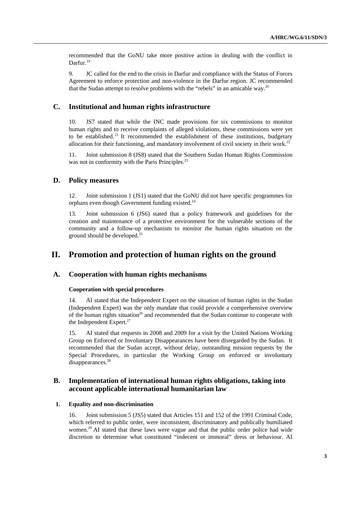recommended that the GoNU take more positive action in dealing with the conflict in Darfur.<sup>19</sup>

9. JC called for the end to the crisis in Darfur and compliance with the Status of Forces Agreement to enforce protection and non-violence in the Darfur region. JC recommended that the Sudan attempt to resolve problems with the "rebels" in an amicable way.<sup>20</sup>

### **C. Institutional and human rights infrastructure**

10. JS7 stated that while the INC made provisions for six commissions to monitor human rights and to receive complaints of alleged violations, these commissions were yet to be established.<sup>21</sup> It recommended the establishment of these institutions, budgetary allocation for their functioning, and mandatory involvement of civil society in their work.<sup>22</sup>

11. Joint submission 8 (JS8) stated that the Southern Sudan Human Rights Commission was not in conformity with the Paris Principles.<sup>23</sup>

### **D. Policy measures**

12. Joint submission 1 (JS1) stated that the GoNU did not have specific programmes for orphans even though Government funding existed.<sup>24</sup>

13. Joint submission 6 (JS6) stated that a policy framework and guidelines for the creation and maintenance of a protective environment for the vulnerable sections of the community and a follow-up mechanism to monitor the human rights situation on the ground should be developed.<sup>25</sup>

## **II. Promotion and protection of human rights on the ground**

### **A. Cooperation with human rights mechanisms**

#### **Cooperation with special procedures**

14. AI stated that the Independent Expert on the situation of human rights in the Sudan (Independent Expert) was the only mandate that could provide a comprehensive overview of the human rights situation<sup>26</sup> and recommended that the Sudan continue to cooperate with the Independent Expert.<sup>27</sup>

15. AI stated that requests in 2008 and 2009 for a visit by the United Nations Working Group on Enforced or Involuntary Disappearances have been disregarded by the Sudan. It recommended that the Sudan accept, without delay, outstanding mission requests by the Special Procedures, in particular the Working Group on enforced or involuntary disappearances.<sup>28</sup>

## **B. Implementation of international human rights obligations, taking into account applicable international humanitarian law**

### **1. Equality and non-discrimination**

16. Joint submission 5 (JS5) stated that Articles 151 and 152 of the 1991 Criminal Code, which referred to public order, were inconsistent, discriminatory and publically humiliated women.<sup>29</sup> AI stated that these laws were vague and that the public order police had wide discretion to determine what constituted "indecent or immoral" dress or behaviour. AI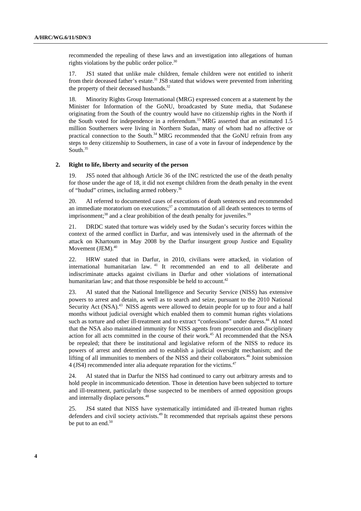recommended the repealing of these laws and an investigation into allegations of human rights violations by the public order police. $30$ 

17. JS1 stated that unlike male children, female children were not entitled to inherit from their deceased father's estate.<sup>31</sup> JS8 stated that widows were prevented from inheriting the property of their deceased husbands. $32$ 

18. Minority Rights Group International (MRG) expressed concern at a statement by the Minister for Information of the GoNU, broadcasted by State media, that Sudanese originating from the South of the country would have no citizenship rights in the North if the South voted for independence in a referendum.33 MRG asserted that an estimated 1.5 million Southerners were living in Northern Sudan, many of whom had no affective or practical connection to the South.34 MRG recommended that the GoNU refrain from any steps to deny citizenship to Southerners, in case of a vote in favour of independence by the South. $35$ 

#### **2. Right to life, liberty and security of the person**

19. JS5 noted that although Article 36 of the INC restricted the use of the death penalty for those under the age of 18, it did not exempt children from the death penalty in the event of "hudud" crimes, including armed robbery.36

20. AI referred to documented cases of executions of death sentences and recommended an immediate moratorium on executions; $37$  a commutation of all death sentences to terms of imprisonment; $38$  and a clear prohibition of the death penalty for juveniles. $39$ 

21. DRDC stated that torture was widely used by the Sudan's security forces within the context of the armed conflict in Darfur, and was intensively used in the aftermath of the attack on Khartoum in May 2008 by the Darfur insurgent group Justice and Equality Movement (JEM).<sup>40</sup>

22. HRW stated that in Darfur, in 2010, civilians were attacked, in violation of international humanitarian law. 41 It recommended an end to all deliberate and indiscriminate attacks against civilians in Darfur and other violations of international humanitarian law; and that those responsible be held to account.<sup>42</sup>

23. AI stated that the National Intelligence and Security Service (NISS) has extensive powers to arrest and detain, as well as to search and seize, pursuant to the 2010 National Security Act (NSA).<sup>43</sup> NISS agents were allowed to detain people for up to four and a half months without judicial oversight which enabled them to commit human rights violations such as torture and other ill-treatment and to extract "confessions" under duress.<sup>44</sup> AI noted that the NSA also maintained immunity for NISS agents from prosecution and disciplinary action for all acts committed in the course of their work.45 AI recommended that the NSA be repealed; that there be institutional and legislative reform of the NISS to reduce its powers of arrest and detention and to establish a judicial oversight mechanism; and the lifting of all immunities to members of the NISS and their collaborators.<sup>46</sup> Joint submission 4 (JS4) recommended inter alia adequate reparation for the victims.47

24. AI stated that in Darfur the NISS had continued to carry out arbitrary arrests and to hold people in incommunicado detention. Those in detention have been subjected to torture and ill-treatment, particularly those suspected to be members of armed opposition groups and internally displace persons.<sup>48</sup>

25. JS4 stated that NISS have systematically intimidated and ill-treated human rights defenders and civil society activists.<sup>49</sup> It recommended that reprisals against these persons be put to an end.<sup>50</sup>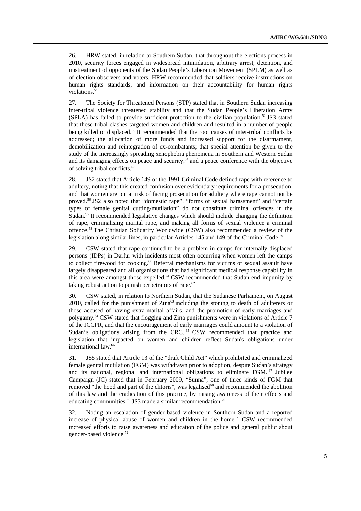26. HRW stated, in relation to Southern Sudan, that throughout the elections process in 2010, security forces engaged in widespread intimidation, arbitrary arrest, detention, and mistreatment of opponents of the Sudan People's Liberation Movement (SPLM) as well as of election observers and voters. HRW recommended that soldiers receive instructions on human rights standards, and information on their accountability for human rights violations.<sup>51</sup>

27. The Society for Threatened Persons (STP) stated that in Southern Sudan increasing inter-tribal violence threatened stability and that the Sudan People's Liberation Army (SPLA) has failed to provide sufficient protection to the civilian population.<sup>52</sup> JS3 stated that these tribal clashes targeted women and children and resulted in a number of people being killed or displaced.<sup>53</sup> It recommended that the root causes of inter-tribal conflicts be addressed; the allocation of more funds and increased support for the disarmament, demobilization and reintegration of ex-combatants; that special attention be given to the study of the increasingly spreading xenophobia phenomena in Southern and Western Sudan and its damaging effects on peace and security;<sup>54</sup> and a peace conference with the objective of solving tribal conflicts.55

28. JS2 stated that Article 149 of the 1991 Criminal Code defined rape with reference to adultery, noting that this created confusion over evidentiary requirements for a prosecution, and that women are put at risk of facing prosecution for adultery where rape cannot not be proved.56 JS2 also noted that "domestic rape", "forms of sexual harassment" and "certain types of female genital cutting/mutilation" do not constitute criminal offences in the Sudan.<sup>57</sup> It recommended legislative changes which should include changing the definition of rape, criminalising marital rape, and making all forms of sexual violence a criminal offence.58 The Christian Solidarity Worldwide (CSW) also recommended a review of the legislation along similar lines, in particular Articles 145 and 149 of the Criminal Code.<sup>59</sup>

29. CSW stated that rape continued to be a problem in camps for internally displaced persons (IDPs) in Darfur with incidents most often occurring when women left the camps to collect firewood for cooking.<sup>60</sup> Referral mechanisms for victims of sexual assault have largely disappeared and all organisations that had significant medical response capability in this area were amongst those expelled.<sup>61</sup> CSW recommended that Sudan end impunity by taking robust action to punish perpetrators of rape. $62$ 

30. CSW stated, in relation to Northern Sudan, that the Sudanese Parliament, on August 2010, called for the punishment of  $Zina^{63}$  including the stoning to death of adulterers or those accused of having extra-marital affairs, and the promotion of early marriages and polygamy.<sup>64</sup> CSW stated that flogging and Zina punishments were in violations of Article 7 of the ICCPR, and that the encouragement of early marriages could amount to a violation of Sudan's obligations arising from the CRC.<sup>65</sup> CSW recommended that practice and legislation that impacted on women and children reflect Sudan's obligations under international law.<sup>66</sup>

31. JS5 stated that Article 13 of the "draft Child Act" which prohibited and criminalized female genital mutilation (FGM) was withdrawn prior to adoption, despite Sudan's strategy and its national, regional and international obligations to eliminate FGM. 67 Jubilee Campaign (JC) stated that in February 2009, "Sunna", one of three kinds of FGM that removed "the hood and part of the clitoris", was legalised<sup>68</sup> and recommended the abolition of this law and the eradication of this practice, by raising awareness of their effects and educating communities.<sup>69</sup> JS3 made a similar recommendation.<sup>70</sup>

32. Noting an escalation of gender-based violence in Southern Sudan and a reported increase of physical abuse of women and children in the home, $71 \text{ CSW}$  recommended increased efforts to raise awareness and education of the police and general public about gender-based violence.72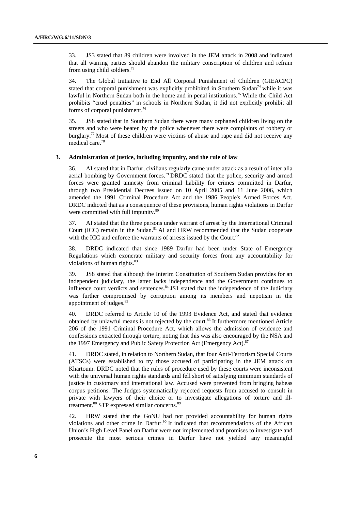33. JS3 stated that 89 children were involved in the JEM attack in 2008 and indicated that all warring parties should abandon the military conscription of children and refrain from using child soldiers.73

34. The Global Initiative to End All Corporal Punishment of Children (GIEACPC) stated that corporal punishment was explicitly prohibited in Southern Sudan<sup>74</sup> while it was lawful in Northern Sudan both in the home and in penal institutions.<sup>75</sup> While the Child Act prohibits "cruel penalties" in schools in Northern Sudan, it did not explicitly prohibit all forms of corporal punishment.76

35. JS8 stated that in Southern Sudan there were many orphaned children living on the streets and who were beaten by the police whenever there were complaints of robbery or burglary.<sup>77</sup> Most of these children were victims of abuse and rape and did not receive any medical care.78

#### **3. Administration of justice, including impunity, and the rule of law**

36. AI stated that in Darfur, civilians regularly came under attack as a result of inter alia aerial bombing by Government forces.<sup>79</sup> DRDC stated that the police, security and armed forces were granted amnesty from criminal liability for crimes committed in Darfur, through two Presidential Decrees issued on 10 April 2005 and 11 June 2006, which amended the 1991 Criminal Procedure Act and the 1986 People's Armed Forces Act. DRDC indicted that as a consequence of these provisions, human rights violations in Darfur were committed with full impunity.<sup>80</sup>

37. AI stated that the three persons under warrant of arrest by the International Criminal Court (ICC) remain in the Sudan.<sup>81</sup> AI and HRW recommended that the Sudan cooperate with the ICC and enforce the warrants of arrests issued by the Court.<sup>82</sup>

38. DRDC indicated that since 1989 Darfur had been under State of Emergency Regulations which exonerate military and security forces from any accountability for violations of human rights.<sup>83</sup>

39. JS8 stated that although the Interim Constitution of Southern Sudan provides for an independent judiciary, the latter lacks independence and the Government continues to influence court verdicts and sentences.<sup>84</sup> JS1 stated that the independence of the Judiciary was further compromised by corruption among its members and nepotism in the appointment of judges.<sup>85</sup>

40. DRDC referred to Article 10 of the 1993 Evidence Act, and stated that evidence obtained by unlawful means is not rejected by the court.<sup>86</sup> It furthermore mentioned Article 206 of the 1991 Criminal Procedure Act, which allows the admission of evidence and confessions extracted through torture, noting that this was also encouraged by the NSA and the 1997 Emergency and Public Safety Protection Act (Emergency Act).<sup>87</sup>

41. DRDC stated, in relation to Northern Sudan, that four Anti-Terrorism Special Courts (ATSCs) were established to try those accused of participating in the JEM attack on Khartoum. DRDC noted that the rules of procedure used by these courts were inconsistent with the universal human rights standards and fell short of satisfying minimum standards of justice in customary and international law. Accused were prevented from bringing habeas corpus petitions. The Judges systematically rejected requests from accused to consult in private with lawyers of their choice or to investigate allegations of torture and illtreatment.<sup>88</sup> STP expressed similar concerns.<sup>89</sup>

42. HRW stated that the GoNU had not provided accountability for human rights violations and other crime in Darfur.<sup>90</sup> It indicated that recommendations of the African Union's High Level Panel on Darfur were not implemented and promises to investigate and prosecute the most serious crimes in Darfur have not yielded any meaningful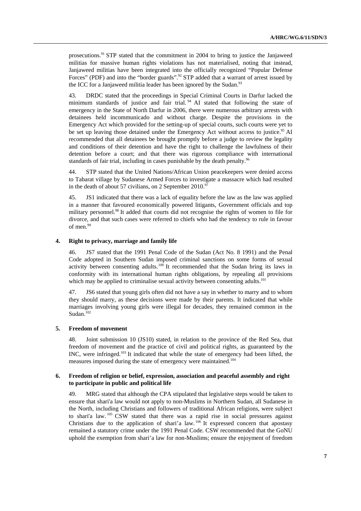prosecutions.91 STP stated that the commitment in 2004 to bring to justice the Janjaweed militias for massive human rights violations has not materialised, noting that instead, Janjaweed militias have been integrated into the officially recognized "Popular Defense Forces" (PDF) and into the "border guards".<sup>92</sup> STP added that a warrant of arrest issued by the ICC for a Janjaweed militia leader has been ignored by the Sudan. $93$ 

43. DRDC stated that the proceedings in Special Criminal Courts in Darfur lacked the minimum standards of justice and fair trial. 94 AI stated that following the state of emergency in the State of North Darfur in 2006, there were numerous arbitrary arrests with detainees held incommunicado and without charge. Despite the provisions in the Emergency Act which provided for the setting-up of special courts, such courts were yet to be set up leaving those detained under the Emergency Act without access to justice.<sup>95</sup> AI recommended that all detainees be brought promptly before a judge to review the legality and conditions of their detention and have the right to challenge the lawfulness of their detention before a court; and that there was rigorous compliance with international standards of fair trial, including in cases punishable by the death penalty.<sup>96</sup>

44. STP stated that the United Nations/African Union peacekeepers were denied access to Tabarat village by Sudanese Armed Forces to investigate a massacre which had resulted in the death of about 57 civilians, on 2 September  $2010.<sup>97</sup>$ 

45. JS1 indicated that there was a lack of equality before the law as the law was applied in a manner that favoured economically powered litigants, Government officials and top military personnel.<sup>98</sup> It added that courts did not recognise the rights of women to file for divorce, and that such cases were referred to chiefs who had the tendency to rule in favour of men.<sup>99</sup>

#### **4. Right to privacy, marriage and family life**

46. JS7 stated that the 1991 Penal Code of the Sudan (Act No. 8 1991) and the Penal Code adopted in Southern Sudan imposed criminal sanctions on some forms of sexual activity between consenting adults.<sup>100</sup> It recommended that the Sudan bring its laws in conformity with its international human rights obligations, by repealing all provisions which may be applied to criminalise sexual activity between consenting adults.<sup>101</sup>

47. JS6 stated that young girls often did not have a say in whether to marry and to whom they should marry, as these decisions were made by their parents. It indicated that while marriages involving young girls were illegal for decades, they remained common in the Sudan.<sup>102</sup>

#### **5. Freedom of movement**

48. Joint submission 10 (JS10) stated, in relation to the province of the Red Sea, that freedom of movement and the practice of civil and political rights, as guaranteed by the INC, were infringed.103 It indicated that while the state of emergency had been lifted, the measures imposed during the state of emergency were maintained.104

#### **6. Freedom of religion or belief, expression, association and peaceful assembly and right to participate in public and political life**

49. MRG stated that although the CPA stipulated that legislative steps would be taken to ensure that shari'a law would not apply to non-Muslims in Northern Sudan, all Sudanese in the North, including Christians and followers of traditional African religions, were subject to shari'a law. 105 CSW stated that there was a rapid rise in social pressures against Christians due to the application of shari'a law. 106 It expressed concern that apostasy remained a statutory crime under the 1991 Penal Code. CSW recommended that the GoNU uphold the exemption from shari'a law for non-Muslims; ensure the enjoyment of freedom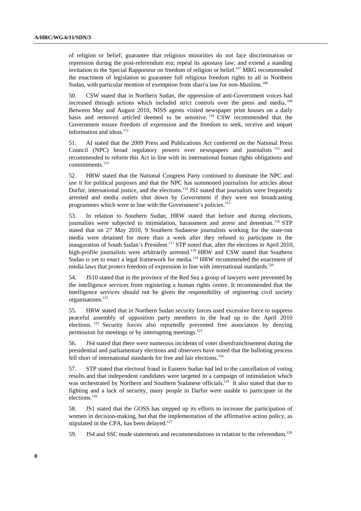of religion or belief; guarantee that religious minorities do not face discrimination or repression during the post-referendum era; repeal its apostasy law; and extend a standing invitation to the Special Rapporteur on freedom of religion or belief.<sup>107</sup> MRG recommended the enactment of legislation to guarantee full religious freedom rights to all in Northern Sudan, with particular mention of exemption from shari'a law for non-Muslims.<sup>108</sup>

50. CSW stated that in Northern Sudan, the oppression of anti-Government voices had increased through actions which included strict controls over the press and media. 109 Between May and August 2010, NISS agents visited newspaper print houses on a daily basis and removed articled deemed to be sensitive. 110 CSW recommended that the Government ensure freedom of expression and the freedom to seek, receive and impart information and ideas. $111$ 

51. AI stated that the 2009 Press and Publications Act conferred on the National Press Council (NPC) broad regulatory powers over newspapers and journalists 112 and recommended to reform this Act in line with its international human rights obligations and commitments.<sup>113</sup>

52. HRW stated that the National Congress Party continued to dominate the NPC and use it for political purposes and that the NPC has summoned journalists for articles about Darfur, international justice, and the elections.<sup>114</sup> JS1 stated that journalists were frequently arrested and media outlets shut down by Government if they were not broadcasting programmes which were in line with the Government's policies.<sup>115</sup>

53. In relation to Southern Sudan, HRW stated that before and during elections, journalists were subjected to intimidation, harassment and arrest and detention.<sup>116</sup> STP stated that on 27 May 2010, 9 Southern Sudanese journalists working for the state-run media were detained for more than a week after they refused to participate in the inauguration of South Sudan's President.117 STP noted that, after the elections in April 2010, high-profile journalists were arbitrarily arrested.<sup>118</sup> HRW and CSW stated that Southern Sudan is yet to enact a legal framework for media.<sup>119</sup> HRW recommended the enactment of media laws that protect freedom of expression in line with international standards.<sup>120</sup>

54. JS10 stated that in the province of the Red Sea a group of lawyers were prevented by the intelligence services from registering a human rights centre. It recommended that the intelligence services should not be given the responsibility of registering civil society organisations.121

55. HRW stated that in Northern Sudan security forces used excessive force to suppress peaceful assembly of opposition party members in the lead up to the April 2010 elections. 122 Security forces also reportedly prevented free association by denying permission for meetings or by interrupting meetings.<sup>123</sup>

56. JS4 stated that there were numerous incidents of voter disenfranchisement during the presidential and parliamentary elections and observers have noted that the balloting process fell short of international standards for free and fair elections.<sup>124</sup>

57. STP stated that electoral fraud in Eastern Sudan had led to the cancellation of voting results and that independent candidates were targeted in a campaign of intimidation which was orchestrated by Northern and Southern Sudanese officials.<sup>125</sup> It also stated that due to fighting and a lack of security, many people in Darfur were unable to participate in the elections.126

58. JS1 stated that the GOSS has stepped up its efforts to increase the participation of women in decision-making, but that the implementation of the affirmative action policy, as stipulated in the CPA, has been delayed.<sup>127</sup>

59. JS4 and SSC made statements and recommendations in relation to the referendum.<sup>128</sup>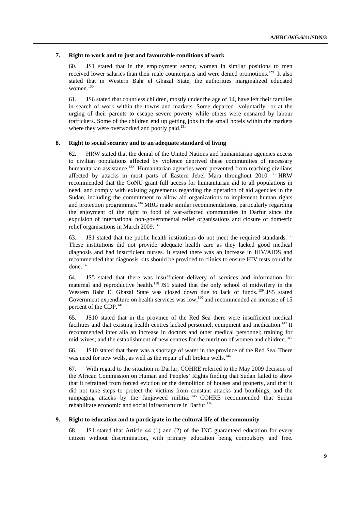#### **7. Right to work and to just and favourable conditions of work**

60. JS1 stated that in the employment sector, women in similar positions to men received lower salaries than their male counterparts and were denied promotions.<sup>129</sup> It also stated that in Western Bahr el Ghazal State, the authorities marginalized educated women.<sup>130</sup>

61. JS6 stated that countless children, mostly under the age of 14, have left their families in search of work within the towns and markets. Some departed "voluntarily" or at the urging of their parents to escape severe poverty while others were ensnared by labour traffickers. Some of the children end up getting jobs in the small hotels within the markets where they were overworked and poorly paid.<sup>131</sup>

#### **8. Right to social security and to an adequate standard of living**

62. HRW stated that the denial of the United Nations and humanitarian agencies access to civilian populations affected by violence deprived these communities of necessary humanitarian assistance.<sup>132</sup> Humanitarian agencies were prevented from reaching civilians affected by attacks in most parts of Eastern Jebel Mara throughout 2010.<sup>133</sup> HRW recommended that the GoNU grant full access for humanitarian aid to all populations in need, and comply with existing agreements regarding the operation of aid agencies in the Sudan, including the commitment to allow aid organizations to implement human rights and protection programmes.<sup>134</sup> MRG made similar recommendations, particularly regarding the enjoyment of the right to food of war-affected communities in Darfur since the expulsion of international non-governmental relief organisations and closure of domestic relief organisations in March 2009.<sup>135</sup>

63. JS1 stated that the public health institutions do not meet the required standards.<sup>136</sup> These institutions did not provide adequate health care as they lacked good medical diagnosis and had insufficient nurses. It stated there was an increase in HIV/AIDS and recommended that diagnosis kits should be provided to clinics to ensure HIV tests could be done.<sup>137</sup>

64. JS5 stated that there was insufficient delivery of services and information for maternal and reproductive health.<sup>138</sup> JS1 stated that the only school of midwifery in the Western Bahr El Ghazal State was closed down due to lack of funds.<sup>139</sup> JS5 stated Government expenditure on health services was  $low$ ,<sup>140</sup> and recommended an increase of 15 percent of the GDP.<sup>141</sup>

65. JS10 stated that in the province of the Red Sea there were insufficient medical facilities and that existing health centres lacked personnel, equipment and medication.<sup>142</sup> It recommended inter alia an increase in doctors and other medical personnel; training for mid-wives; and the establishment of new centres for the nutrition of women and children.<sup>143</sup>

66. JS10 stated that there was a shortage of water in the province of the Red Sea. There was need for new wells, as well as the repair of all broken wells.<sup>144</sup>

67. With regard to the situation in Darfur, COHRE referred to the May 2009 decision of the African Commission on Human and Peoples' Rights finding that Sudan failed to show that it refrained from forced eviction or the demolition of houses and property, and that it did not take steps to protect the victims from constant attacks and bombings, and the rampaging attacks by the Janjaweed militia.<sup>145</sup> COHRE recommended that Sudan rehabilitate economic and social infrastructure in Darfur.<sup>146</sup>

#### **9. Right to education and to participate in the cultural life of the community**

68. JS1 stated that Article 44 (1) and (2) of the INC guaranteed education for every citizen without discrimination, with primary education being compulsory and free.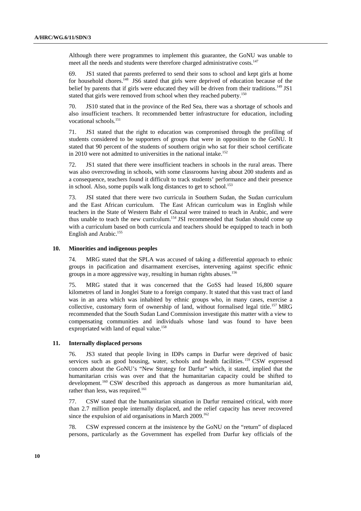Although there were programmes to implement this guarantee, the GoNU was unable to meet all the needs and students were therefore charged administrative costs.<sup>147</sup>

69. JS1 stated that parents preferred to send their sons to school and kept girls at home for household chores.<sup>148</sup> JS6 stated that girls were deprived of education because of the belief by parents that if girls were educated they will be driven from their traditions.<sup>149</sup> JS1 stated that girls were removed from school when they reached puberty.<sup>150</sup>

70. JS10 stated that in the province of the Red Sea, there was a shortage of schools and also insufficient teachers. It recommended better infrastructure for education, including vocational schools.<sup>151</sup>

71. JS1 stated that the right to education was compromised through the profiling of students considered to be supporters of groups that were in opposition to the GoNU. It stated that 90 percent of the students of southern origin who sat for their school certificate in 2010 were not admitted to universities in the national intake.<sup>152</sup>

72. JS1 stated that there were insufficient teachers in schools in the rural areas. There was also overcrowding in schools, with some classrooms having about 200 students and as a consequence, teachers found it difficult to track students' performance and their presence in school. Also, some pupils walk long distances to get to school.<sup>153</sup>

73. JSI stated that there were two curricula in Southern Sudan, the Sudan curriculum and the East African curriculum. The East African curriculum was in English while teachers in the State of Western Bahr el Ghazal were trained to teach in Arabic, and were thus unable to teach the new curriculum.<sup>154</sup> JSI recommended that Sudan should come up with a curriculum based on both curricula and teachers should be equipped to teach in both English and Arabic.<sup>155</sup>

#### **10. Minorities and indigenous peoples**

74. MRG stated that the SPLA was accused of taking a differential approach to ethnic groups in pacification and disarmament exercises, intervening against specific ethnic groups in a more aggressive way, resulting in human rights abuses.<sup>156</sup>

75. MRG stated that it was concerned that the GoSS had leased 16,800 square kilometres of land in Jonglei State to a foreign company. It stated that this vast tract of land was in an area which was inhabited by ethnic groups who, in many cases, exercise a collective, customary form of ownership of land, without formalised legal title.<sup>157</sup> MRG recommended that the South Sudan Land Commission investigate this matter with a view to compensating communities and individuals whose land was found to have been expropriated with land of equal value.<sup>158</sup>

### **11. Internally displaced persons**

76. JS3 stated that people living in IDPs camps in Darfur were deprived of basic services such as good housing, water, schools and health facilities.<sup>159</sup> CSW expressed concern about the GoNU's "New Strategy for Darfur" which, it stated, implied that the humanitarian crisis was over and that the humanitarian capacity could be shifted to development.<sup>160</sup> CSW described this approach as dangerous as more humanitarian aid, rather than less, was required.<sup>161</sup>

77. CSW stated that the humanitarian situation in Darfur remained critical, with more than 2.7 million people internally displaced, and the relief capacity has never recovered since the expulsion of aid organisations in March 2009.<sup>162</sup>

78. CSW expressed concern at the insistence by the GoNU on the "return" of displaced persons, particularly as the Government has expelled from Darfur key officials of the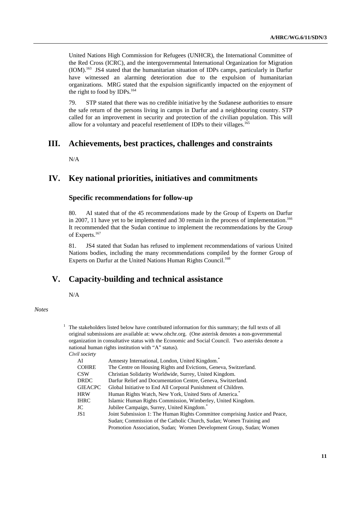United Nations High Commission for Refugees (UNHCR), the International Committee of the Red Cross (ICRC), and the intergovernmental International Organization for Migration (IOM).163 JS4 stated that the humanitarian situation of IDPs camps, particularly in Darfur have witnessed an alarming deterioration due to the expulsion of humanitarian organizations. MRG stated that the expulsion significantly impacted on the enjoyment of the right to food by IDPs.<sup>164</sup>

79. STP stated that there was no credible initiative by the Sudanese authorities to ensure the safe return of the persons living in camps in Darfur and a neighbouring country. STP called for an improvement in security and protection of the civilian population. This will allow for a voluntary and peaceful resettlement of IDPs to their villages.<sup>165</sup>

## **III. Achievements, best practices, challenges and constraints**

N/A

## **IV. Key national priorities, initiatives and commitments**

## **Specific recommendations for follow-up**

80. AI stated that of the 45 recommendations made by the Group of Experts on Darfur in 2007, 11 have yet to be implemented and 30 remain in the process of implementation.<sup>166</sup> It recommended that the Sudan continue to implement the recommendations by the Group of Experts.<sup>167</sup>

81. JS4 stated that Sudan has refused to implement recommendations of various United Nations bodies, including the many recommendations compiled by the former Group of Experts on Darfur at the United Nations Human Rights Council.<sup>168</sup>

## **V. Capacity-building and technical assistance**

N/A

*Notes* 

 $1$  The stakeholders listed below have contributed information for this summary; the full texts of all original submissions are available at: www.ohchr.org. (One asterisk denotes a non-governmental organization in consultative status with the Economic and Social Council. Two asterisks denote a national human rights institution with "A" status).  *Civil society* 

| AI             | Amnesty International, London, United Kingdom. <sup>*</sup>                  |
|----------------|------------------------------------------------------------------------------|
| <b>COHRE</b>   | The Centre on Housing Rights and Evictions, Geneva, Switzerland.             |
| CSW            | Christian Solidarity Worldwide, Surrey, United Kingdom.                      |
| <b>DRDC</b>    | Darfur Relief and Documentation Centre, Geneva, Switzerland.                 |
| <b>GIEACPC</b> | Global Initiative to End All Corporal Punishment of Children.                |
| HRW            | Human Rights Watch, New York, United Stets of America.                       |
| IHRC           | Islamic Human Rights Commission, Wimberley, United Kingdom.                  |
| JC             | Jubilee Campaign, Surrey, United Kingdom.                                    |
| JS 1           | Joint Submission 1: The Human Rights Committee comprising Justice and Peace, |
|                | Sudan; Commission of the Catholic Church, Sudan; Women Training and          |
|                | Promotion Association, Sudan: Women Development Group, Sudan: Women          |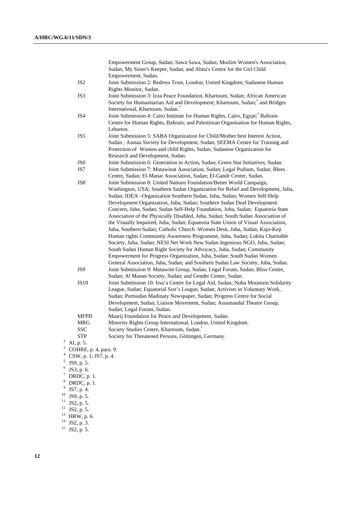Empowerment Group, Sudan; Sawa Sawa, Sudan; Muslim Women's Association, Sudan; My Sister's Keeper, Sudan; and Alma's Centre for the Girl Child Empowerment, Sudan. JS2 Joint Submission 2: Redress Trust, London, United Kingdom; Sudanese Human Rights Monitor, Sudan. JS3 Joint Submission 3: Izza Peace Foundation, Khartoum, Sudan; African American Society for Humanitarian Aid and Development; Khartoum, Sudan;<sup>\*</sup> and Bridges International, Khartoum, Sudan.\* JS4 Joint Submission 4: Cairo Institute for Human Rights, Cairo, Egypt; \* Bahrain Centre for Human Rights, Bahrain; and Palestinian Organisation for Human Rights, Lebanon. JS5 Joint Submission 5: SABA Organization for Child/Mother best Interest Action, Sudan ; Asmaa Society for Development, Sudan; SEEMA Centre for Training and Protection of Women and child Rights, Sudan; Sudanese Organization for Research and Development, Sudan. JS6 Joint Submission 6: Generation in Action, Sudan; Green Star Initiatives, Sudan. JS7 Joint Submission 7: Mutawinat Association, Sudan; Legal Podium, Sudan; Blees Centre, Sudan; El-Manar Association, Sudan; El-Gandr Centre, Sudan. JS8 Joint Submission 8: United Nations Foundation/Better World Campaign, Washington, USA; Southern Sudan Organization for Relief and Development, Juba, Sudan; IDEA –Organization Southern Sudan, Juba, Sudan; Women Self-Help Development Organization, Juba, Sudan; Southern Sudan Deaf Development Concern, Juba, Sudan; Sudan Self-Help Foundation, Juba, Sudan; Equatoria State Association of the Physically Disabled, Juba, Sudan; South Sudan Association of the Visually Impaired, Juba, Sudan; Equatoria State Union of Visual Association, Juba, Southern Sudan; Catholic Church -Women Desk, Juba, Sudan; Kajo-Keji Human rights Community Awareness Programme, Juba, Sudan; Lokita Charitable Society, Juba, Sudan; NESI Net Work New Sudan Ingenious NGO, Juba, Sudan; South Sudan Human Right Society for Advocacy, Juba, Sudan; Community Empowerment for Progress Organization, Juba, Sudan; South Sudan Women General Association, Juba, Sudan; and Southern Sudan Law Society, Juba, Sudan. JS9 Joint Submission 9: Mutawint Group, Sudan; Legal Forum, Sudan; Bliss Centre, Sudan; Al Manan Society, Sudan; and Gender Center, Sudan. JS10 Joint Submission 10: Irsa'a Centre for Legal Aid, Sudan; Nuba Mountain Solidarity League, Sudan; Equatorial Son's League, Sudan; Activists in Voluntary Work, Sudan; Portsudan Madinaty Newspaper, Sudan; Progress Centre for Social Development, Sudan; Liaison Movement, Sudan; Assamandal Theatre Group, Sudan; Legal Forum, Sudan. MFPD Maarij Foundation for Peace and Development, Sudan. MRG Minority Rights Group International, London, United Kingdom. SSC Society Studies Centre, Khartoum, Sudan.\* STP Society for Threatened Persons, Göttingen, Germany. <sup>2</sup> AI, p. 5.  $3$  COHRE, p. 4, para. 9. 4 CSW, p. 1; JS7, p. 4.  $5$  JS9, p. 5.  $6$  JS3, p. 6. DRDC, p. 1. 8 DRDC, p. 1.  $9$  JS7, p. 4.  $10$  JS9, p. 5.  $11$  JS2, p. 5.

 $12$  JS2, p. 5.

7

- 13 HRW, p. 6.
- $14$  JS2, p. 3.
- $15$  JS2, p. 5.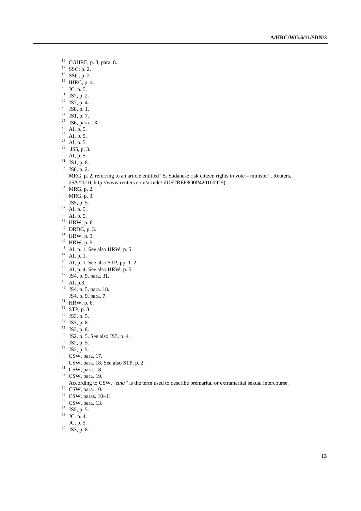- 16 COHRE, p. 3, para. 8.
- 17 SSC; p. 2.
- 18 SSC; p. 2.
- $19$  IHRC, p. 4.
- $20$  JC, p. 5.
- <sup>21</sup> JS7, p. 2.
- <sup>22</sup> JS7, p. 4.
- 
- $23$  JS8, p. 1.
- $24$  JS1, p. 7.
- <sup>25</sup> JS6, para. 13.
- $26$  AI, p. 5.
- <sup>27</sup> AI, p. 5.
- $^{28}$  AI, p. 5.
- <sup>29</sup> JS5, p. 3.
- $30$  AI, p. 5.
- $31$  JS1, p. 8.
- $32$  JS8, p. 2.
- 33 MRG, p. 2, referring to an article entitled "S. Sudanese risk citizen rights in vote minister", Reuters, 25/9/2010, http://www.reuters.com/article/idUSTRE68O0P420100925). 34 MRG, p. 2.
- 
- 35 MRG, p. 3.
- 36 JS5, p. 5.
- $37$  AI, p. 5.
- 38 AI, p. 5.
- 39 HRW, p. 6.
- $40$  DRDC, p. 3.
- $41$  HRW, p. 3.
- $42$  HRW, p. 5.
- 43 AI, p. 1. See also HRW, p. 5.<br>44 AI, p. 1.
- 
- 45 AI, p. 1. See also STP, pp. 1–2.
- $^{46}$  AI, p. 4. See also HRW, p. 5.
- $47 \text{ JS4, p. 9, para. 31.}$
- 48 AI, p.3.
- 49 JS4, p. 5, para. 18.
- 50 JS4, p. 9, para. 7.
- $51$  HRW, p. 6.
- 52 STP, p. 3.
- 53 JS3, p. 5.
- 54 JS3, p. 8.
- 55 JS3, p. 8.
- $^{56}$  JS2, p. 5. See also JS5, p. 4.<br><sup>57</sup> JS2, p. 5.
- 
- 58 JS2, p. 5.
- 59 CSW, para. 17.
- 
- $^{60}$  CSW, para. 18. See also STP, p. 2.<br><sup>61</sup> CSW, para. 18.
- 
- 62 CSW, para. 19.
- <sup>63</sup> According to CSW, "*zina*" is the term used to describe premarital or extramarital sexual intercourse.<br><sup>64</sup> CSW, para. 10.
- 
- 65 CSW, paras. 10–11.
- 66 CSW, para. 13.
- 67 JS5, p. 5.
- 68 JC, p. 4.
- $^{69}$  JC, p. 5.
- 70 JS3, p. 8.
-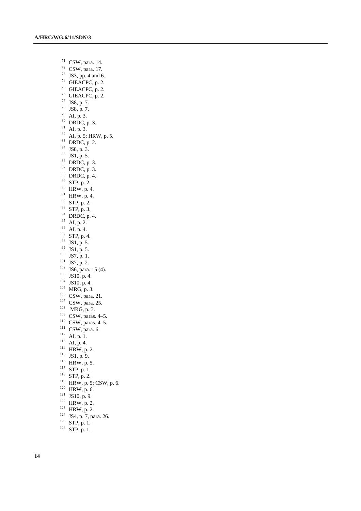71 CSW, para. 14. 72 CSW, para. 17.  $73$  JS3, pp. 4 and 6.  $74$  GIEACPC, p. 2.  $75$  GIEACPC, p. 2.  $76$  GIEACPC, p. 2. 77 JS8, p. 7. 78 JS8, p. 7.  $79$  AI, p. 3. 80 DRDC, p. 3. 81 AI, p. 3.  $^{82}$  AI, p. 5; HRW, p. 5. 83 DRDC, p. 2. 84 JS8, p. 3.  $85$  JS1, p. 5. 86 DRDC, p. 3. 87 DRDC, p. 3. 88 DRDC, p. 4. 89 STP, p. 2. 90 HRW, p. 4.  $^{91}$  HRW, p. 4. 92 STP, p. 2. 93 STP, p. 3. 94 DRDC, p. 4. 95 AI, p. 2. 96 AI, p. 4. 97 STP, p. 4.  $\frac{98}{99}$  JS1, p. 5.<br>99 JS1, p. 5. 100 IS7, p. 1.<br>
101 IS7, p. 2.<br>
102 IS6, para. 15 (4).<br>
103 IS10, p. 4.<br>
104 IS10, p. 4.<br>
105 IS10, p. 4.<br>
106 CSW, para. 21.<br>
107 CSW, para. 25.<br>
109 CSW, paras. 4–5.<br>
110 CSW, paras. 4–5.<br>
1110 CSW, paras. 4–5.<br>
1111 AI